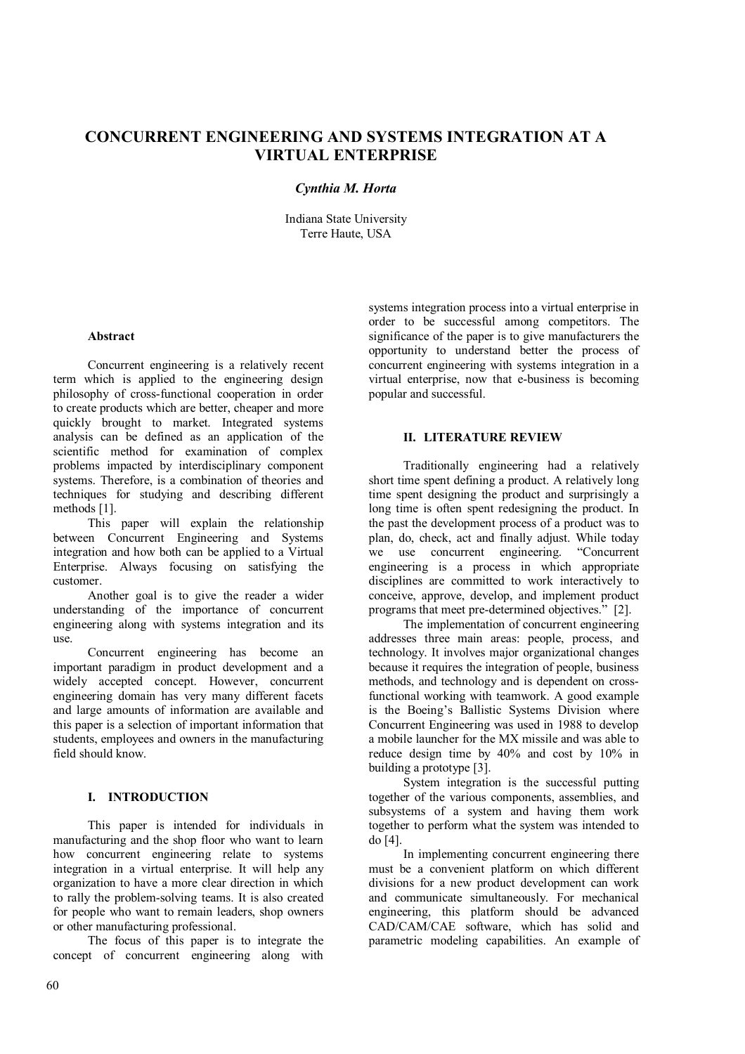# **CONCURRENT ENGINEERING AND SYSTEMS INTEGRATION AT A VIRTUAL ENTERPRISE**

# *Cynthia M. Horta*

Indiana State University Terre Haute, USA

#### **Abstract**

Concurrent engineering is a relatively recent term which is applied to the engineering design philosophy of cross-functional cooperation in order to create products which are better, cheaper and more quickly brought to market. Integrated systems analysis can be defined as an application of the scientific method for examination of complex problems impacted by interdisciplinary component systems. Therefore, is a combination of theories and techniques for studying and describing different methods [1].

This paper will explain the relationship between Concurrent Engineering and Systems integration and how both can be applied to a Virtual Enterprise. Always focusing on satisfying the customer.

Another goal is to give the reader a wider understanding of the importance of concurrent engineering along with systems integration and its use.

Concurrent engineering has become an important paradigm in product development and a widely accepted concept. However, concurrent engineering domain has very many different facets and large amounts of information are available and this paper is a selection of important information that students, employees and owners in the manufacturing field should know.

#### **I. INTRODUCTION**

This paper is intended for individuals in manufacturing and the shop floor who want to learn how concurrent engineering relate to systems integration in a virtual enterprise. It will help any organization to have a more clear direction in which to rally the problem-solving teams. It is also created for people who want to remain leaders, shop owners or other manufacturing professional.

The focus of this paper is to integrate the concept of concurrent engineering along with

systems integration process into a virtual enterprise in order to be successful among competitors. The significance of the paper is to give manufacturers the opportunity to understand better the process of concurrent engineering with systems integration in a virtual enterprise, now that e-business is becoming popular and successful.

#### **II. LITERATURE REVIEW**

Traditionally engineering had a relatively short time spent defining a product. A relatively long time spent designing the product and surprisingly a long time is often spent redesigning the product. In the past the development process of a product was to plan, do, check, act and finally adjust. While today we use concurrent engineering. "Concurrent engineering is a process in which appropriate disciplines are committed to work interactively to conceive, approve, develop, and implement product programs that meet pre-determined objectives." [2].

The implementation of concurrent engineering addresses three main areas: people, process, and technology. It involves major organizational changes because it requires the integration of people, business methods, and technology and is dependent on crossfunctional working with teamwork. A good example is the Boeing's Ballistic Systems Division where Concurrent Engineering was used in 1988 to develop a mobile launcher for the MX missile and was able to reduce design time by 40% and cost by 10% in building a prototype [3].

System integration is the successful putting together of the various components, assemblies, and subsystems of a system and having them work together to perform what the system was intended to do [4].

In implementing concurrent engineering there must be a convenient platform on which different divisions for a new product development can work and communicate simultaneously. For mechanical engineering, this platform should be advanced CAD/CAM/CAE software, which has solid and parametric modeling capabilities. An example of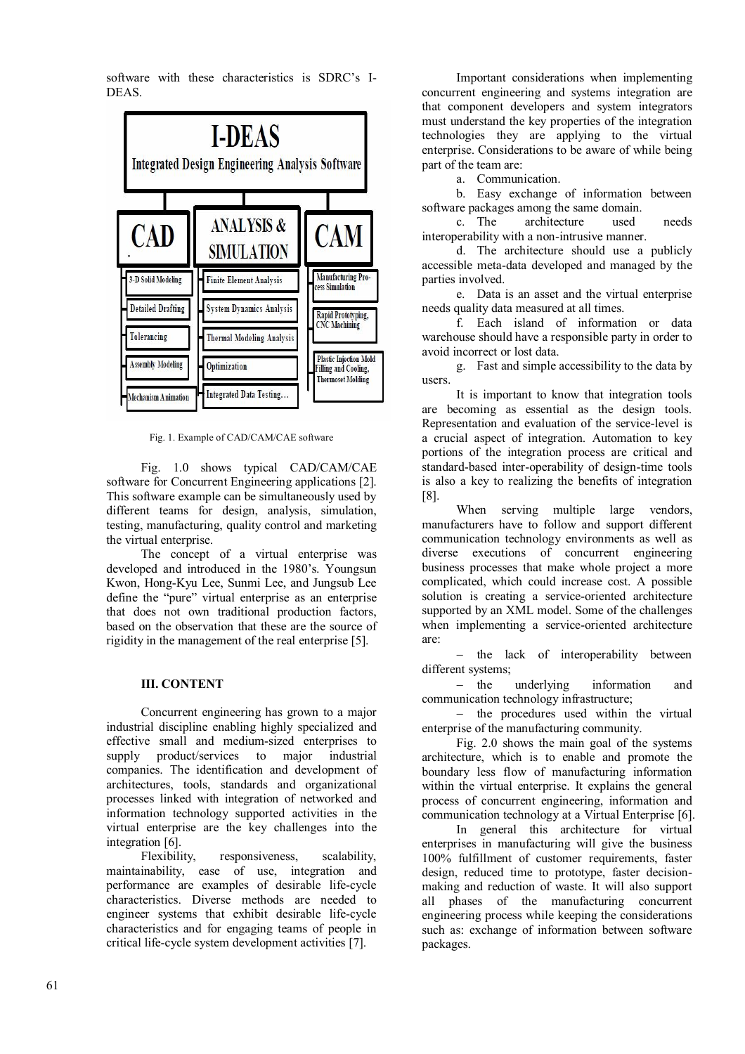software with these characteristics is SDRC's I-DEAS.



Fig. 1. Example of CAD/CAM/CAE software

Fig. 1.0 shows typical CAD/CAM/CAE software for Concurrent Engineering applications [2]. This software example can be simultaneously used by different teams for design, analysis, simulation, testing, manufacturing, quality control and marketing the virtual enterprise.

The concept of a virtual enterprise was developed and introduced in the 1980's. Youngsun Kwon, Hong-Kyu Lee, Sunmi Lee, and Jungsub Lee define the "pure" virtual enterprise as an enterprise that does not own traditional production factors based on the observation that these are the source of rigidity in the management of the real enterprise [5].

### **III. CONTENT**

Concurrent engineering has grown to a major industrial discipline enabling highly specialized and effective small and medium-sized enterprises to supply product/services to major industrial companies. The identification and development of architectures, tools, standards and organizational processes linked with integration of networked and information technology supported activities in the virtual enterprise are the key challenges into the integration [6].

Flexibility, responsiveness, scalability, maintainability, ease of use, integration and performance are examples of desirable life-cycle characteristics. Diverse methods are needed to engineer systems that exhibit desirable life-cycle characteristics and for engaging teams of people in critical life-cycle system development activities [7].

Important considerations when implementing concurrent engineering and systems integration are that component developers and system integrators must understand the key properties of the integration technologies they are applying to the virtual enterprise. Considerations to be aware of while being part of the team are:

a. Communication.

b. Easy exchange of information between software packages among the same domain.

c. The architecture used needs interoperability with a non-intrusive manner.

d. The architecture should use a publicly accessible meta-data developed and managed by the parties involved.

e. Data is an asset and the virtual enterprise needs quality data measured at all times.

f. Each island of information or data warehouse should have a responsible party in order to avoid incorrect or lost data.

g. Fast and simple accessibility to the data by users.

It is important to know that integration tools are becoming as essential as the design tools. Representation and evaluation of the service-level is a crucial aspect of integration. Automation to key portions of the integration process are critical and standard-based inter-operability of design-time tools is also a key to realizing the benefits of integration [8].

When serving multiple large vendors, manufacturers have to follow and support different communication technology environments as well as diverse executions of concurrent engineering business processes that make whole project a more complicated, which could increase cost. A possible solution is creating a service-oriented architecture supported by an XML model. Some of the challenges when implementing a service-oriented architecture are:

- the lack of interoperability between different systems;

- the underlying information and communication technology infrastructure;

 $-$  the procedures used within the virtual enterprise of the manufacturing community.

Fig. 2.0 shows the main goal of the systems architecture, which is to enable and promote the boundary less flow of manufacturing information within the virtual enterprise. It explains the general process of concurrent engineering, information and communication technology at a Virtual Enterprise [6].

In general this architecture for virtual enterprises in manufacturing will give the business 100% fulfillment of customer requirements, faster design, reduced time to prototype, faster decisionmaking and reduction of waste. It will also support all phases of the manufacturing concurrent engineering process while keeping the considerations such as: exchange of information between software packages.